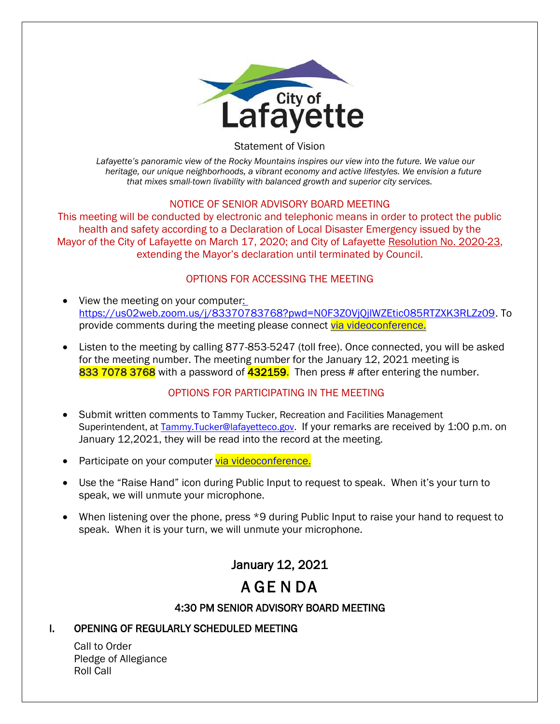

Statement of Vision

*Lafayette's panoramic view of the Rocky Mountains inspires our view into the future. We value our heritage, our unique neighborhoods, a vibrant economy and active lifestyles. We envision a future that mixes small-town livability with balanced growth and superior city services.*

#### NOTICE OF SENIOR ADVISORY BOARD MEETING

This meeting will be conducted by electronic and telephonic means in order to protect the public health and safety according to a Declaration of Local Disaster Emergency issued by the Mayor of the City of Lafayette on March 17, 2020; and City of Lafayette Resolution No. 2020-23, extending the Mayor's declaration until terminated by Council.

# OPTIONS FOR ACCESSING THE MEETING

- View the meeting on your computer: https://us02web.zoom.us/j/83370783768?pwd=N0F3Z0VjQjlWZEtic085RTZXK3RLZz09. To provide comments during the meeting please connect [via videoconference.](about:blank)
- Listen to the meeting by calling 877-853-5247 (toll free). Once connected, you will be asked for the meeting number. The meeting number for the January 12, 2021 meeting is 833 7078 3768 with a password of 432159. Then press # after entering the number.

# OPTIONS FOR PARTICIPATING IN THE MEETING

- Submit written comments to Tammy Tucker, Recreation and Facilities Management Superintendent, at Tammy.Tucker@lafayetteco.gov. If your remarks are received by 1:00 p.m. on January 12,2021, they will be read into the record at the meeting.
- Participate on your computer [via videoconference.](about:blank)
- Use the "Raise Hand" icon during Public Input to request to speak. When it's your turn to speak, we will unmute your microphone.
- When listening over the phone, press \*9 during Public Input to raise your hand to request to speak. When it is your turn, we will unmute your microphone.

# January 12, 2021

# A GE N DA

# 4:30 PM SENIOR ADVISORY BOARD MEETING

# I. OPENING OF REGULARLY SCHEDULED MEETING

Call to Order Pledge of Allegiance Roll Call